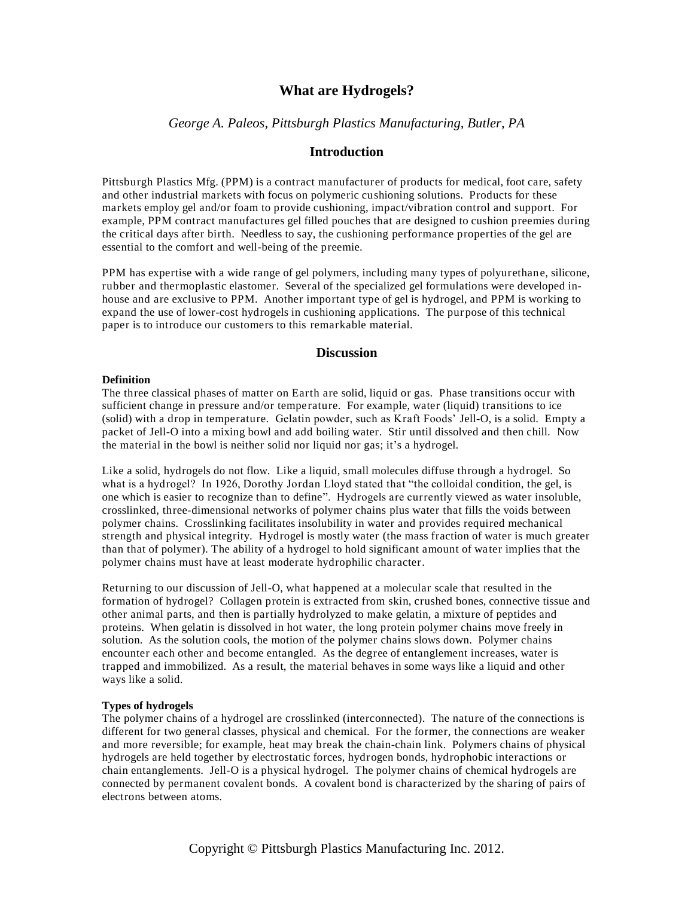# **What are Hydrogels?**

*George A. Paleos, Pittsburgh Plastics Manufacturing, Butler, PA*

## **Introduction**

Pittsburgh Plastics Mfg. (PPM) is a contract manufacturer of products for medical, foot care, safety and other industrial markets with focus on polymeric cushioning solutions. Products for these markets employ gel and/or foam to provide cushioning, impact/vibration control and support. For example, PPM contract manufactures gel filled pouches that are designed to cushion preemies during the critical days after birth. Needless to say, the cushioning performance properties of the gel are essential to the comfort and well-being of the preemie.

PPM has expertise with a wide range of gel polymers, including many types of polyurethane, silicone, rubber and thermoplastic elastomer. Several of the specialized gel formulations were developed inhouse and are exclusive to PPM. Another important type of gel is hydrogel, and PPM is working to expand the use of lower-cost hydrogels in cushioning applications. The purpose of this technical paper is to introduce our customers to this remarkable material.

### **Discussion**

#### **Definition**

The three classical phases of matter on Earth are solid, liquid or gas. Phase transitions occur with sufficient change in pressure and/or temperature. For example, water (liquid) transitions to ice (solid) with a drop in temperature. Gelatin powder, such as Kraft Foods' Jell-O, is a solid. Empty a packet of Jell-O into a mixing bowl and add boiling water. Stir until dissolved and then chill. Now the material in the bowl is neither solid nor liquid nor gas; it's a hydrogel.

Like a solid, hydrogels do not flow. Like a liquid, small molecules diffuse through a hydrogel. So what is a hydrogel? In 1926, Dorothy Jordan Lloyd stated that "the colloidal condition, the gel, is one which is easier to recognize than to define". Hydrogels are currently viewed as water insoluble, crosslinked, three-dimensional networks of polymer chains plus water that fills the voids between polymer chains. Crosslinking facilitates insolubility in water and provides required mechanical strength and physical integrity. Hydrogel is mostly water (the mass fraction of water is much greater than that of polymer). The ability of a hydrogel to hold significant amount of wa ter implies that the polymer chains must have at least moderate hydrophilic character.

Returning to our discussion of Jell-O, what happened at a molecular scale that resulted in the formation of hydrogel? Collagen protein is extracted from skin, crushed bones, connective tissue and other animal parts, and then is partially hydrolyzed to make gelatin, a mixture of peptides and proteins. When gelatin is dissolved in hot water, the long protein polymer chains move freely in solution. As the solution cools, the motion of the polymer chains slows down. Polymer chains encounter each other and become entangled. As the degree of entanglement increases, water is trapped and immobilized. As a result, the material behaves in some ways like a liquid and other ways like a solid.

#### **Types of hydrogels**

The polymer chains of a hydrogel are crosslinked (interconnected). The nature of the connections is different for two general classes, physical and chemical. For the former, the connections are weaker and more reversible; for example, heat may break the chain-chain link. Polymers chains of physical hydrogels are held together by electrostatic forces, hydrogen bonds, hydrophobic interactions or chain entanglements. Jell-O is a physical hydrogel. The polymer chains of chemical hydrogels are connected by permanent covalent bonds. A covalent bond is characterized by the sharing of pairs of electrons between atoms.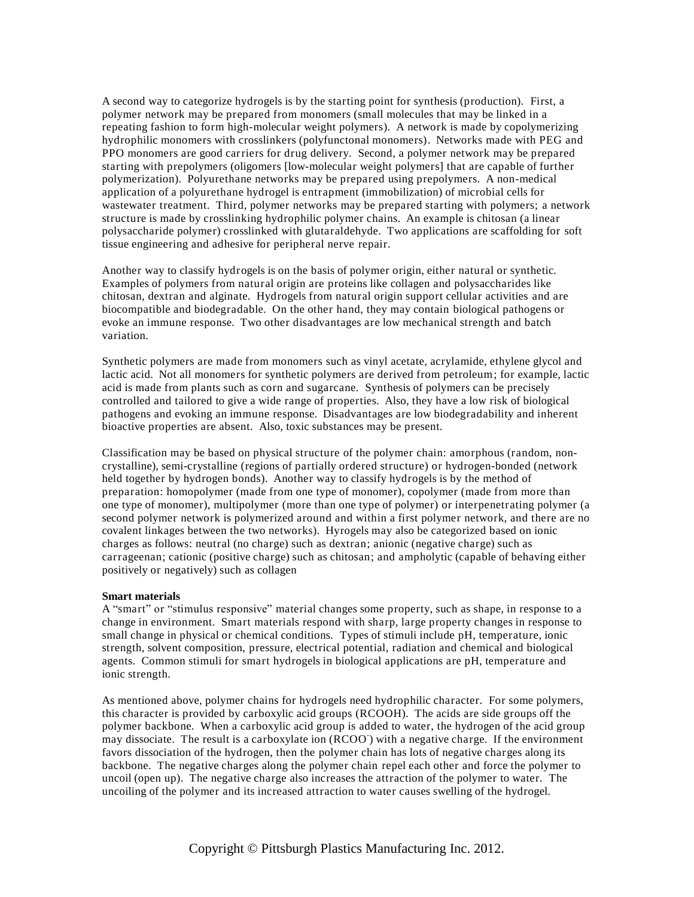A second way to categorize hydrogels is by the starting point for synthesis (production). First, a polymer network may be prepared from monomers (small molecules that may be linked in a repeating fashion to form high-molecular weight polymers). A network is made by copolymerizing hydrophilic monomers with crosslinkers (polyfunctonal monomers). Networks made with PEG and PPO monomers are good carriers for drug delivery. Second, a polymer network may be prepared starting with prepolymers (oligomers [low-molecular weight polymers] that are capable of further polymerization). Polyurethane networks may be prepared using prepolymers. A non-medical application of a polyurethane hydrogel is entrapment (immobilization) of microbial cells for wastewater treatment. Third, polymer networks may be prepared starting with polymers; a network structure is made by crosslinking hydrophilic polymer chains. An example is chitosan (a linear polysaccharide polymer) crosslinked with glutaraldehyde. Two applications are scaffolding for soft tissue engineering and adhesive for peripheral nerve repair.

Another way to classify hydrogels is on the basis of polymer origin, either natural or synthetic. Examples of polymers from natural origin are proteins like collagen and polysaccharides like chitosan, dextran and alginate. Hydrogels from natural origin support cellular activities and are biocompatible and biodegradable. On the other hand, they may contain biological pathogens or evoke an immune response. Two other disadvantages are low mechanical strength and batch variation.

Synthetic polymers are made from monomers such as vinyl acetate, acrylamide, ethylene glycol and lactic acid. Not all monomers for synthetic polymers are derived from petroleum; for example, lactic acid is made from plants such as corn and sugarcane. Synthesis of polymers can be precisely controlled and tailored to give a wide range of properties. Also, they have a low risk of biological pathogens and evoking an immune response. Disadvantages are low biodegradability and inherent bioactive properties are absent. Also, toxic substances may be present.

Classification may be based on physical structure of the polymer chain: amorphous (random, noncrystalline), semi-crystalline (regions of partially ordered structure) or hydrogen-bonded (network held together by hydrogen bonds). Another way to classify hydrogels is by the method of preparation: homopolymer (made from one type of monomer), copolymer (made from more than one type of monomer), multipolymer (more than one type of polymer) or interpenetrating polymer (a second polymer network is polymerized around and within a first polymer network, and there are no covalent linkages between the two networks). Hyrogels may also be categorized based on ionic charges as follows: neutral (no charge) such as dextran; anionic (negative charge) such as carrageenan; cationic (positive charge) such as chitosan; and ampholytic (capable of behaving either positively or negatively) such as collagen

#### **Smart materials**

A "smart" or "stimulus responsive" material changes some property, such as shape, in response to a change in environment. Smart materials respond with sharp, large property changes in response to small change in physical or chemical conditions. Types of stimuli include pH, temperature, ionic strength, solvent composition, pressure, electrical potential, radiation and chemical and biological agents. Common stimuli for smart hydrogels in biological applications are pH, temperature and ionic strength.

As mentioned above, polymer chains for hydrogels need hydrophilic character. For some polymers, this character is provided by carboxylic acid groups (RCOOH). The acids are side groups off the polymer backbone. When a carboxylic acid group is added to water, the hydrogen of the acid group may dissociate. The result is a carboxylate ion  $(RCOO)$  with a negative charge. If the environment favors dissociation of the hydrogen, then the polymer chain has lots of negative charges along its backbone. The negative charges along the polymer chain repel each other and force the polymer to uncoil (open up). The negative charge also increases the attraction of the polymer to water. The uncoiling of the polymer and its increased attraction to water causes swelling of the hydrogel.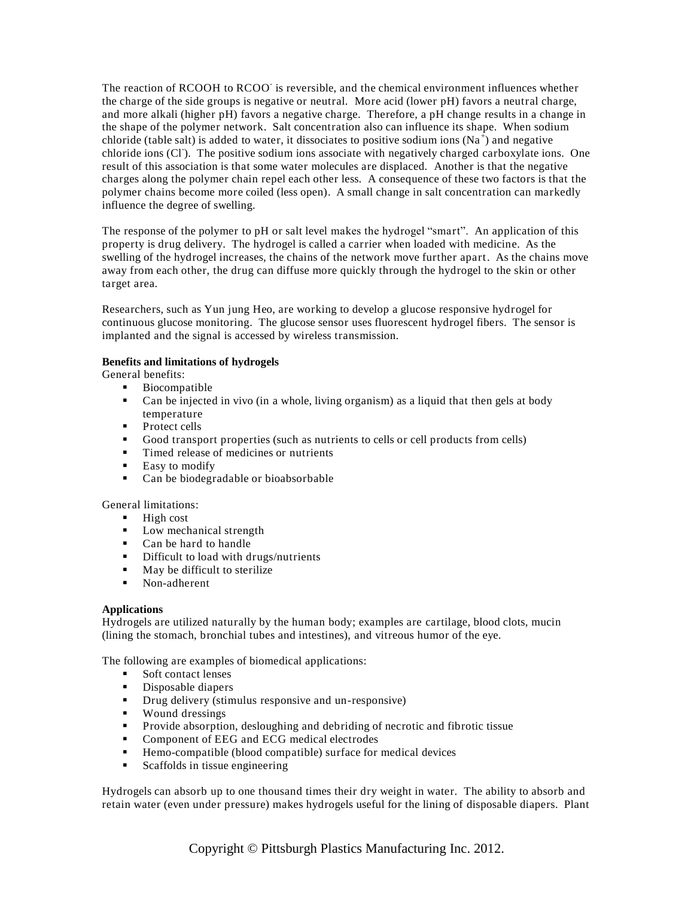The reaction of RCOOH to RCOO is reversible, and the chemical environment influences whether the charge of the side groups is negative or neutral. More acid (lower pH) favors a neutral charge, and more alkali (higher pH) favors a negative charge. Therefore, a pH change results in a change in the shape of the polymer network. Salt concentration also can influence its shape. When sodium chloride (table salt) is added to water, it dissociates to positive sodium ions (Na<sup>+</sup>) and negative chloride ions (Cl). The positive sodium ions associate with negatively charged carboxylate ions. One result of this association is that some water molecules are displaced. Another is that the negative charges along the polymer chain repel each other less. A consequence of these two factors is that the polymer chains become more coiled (less open). A small change in salt concentration can markedly influence the degree of swelling.

The response of the polymer to pH or salt level makes the hydrogel "smart". An application of this property is drug delivery. The hydrogel is called a carrier when loaded with medicine. As the swelling of the hydrogel increases, the chains of the network move further apart. As the chains move away from each other, the drug can diffuse more quickly through the hydrogel to the skin or other target area.

Researchers, such as Yun jung Heo, are working to develop a glucose responsive hydrogel for continuous glucose monitoring. The glucose sensor uses fluorescent hydrogel fibers. The sensor is implanted and the signal is accessed by wireless transmission.

## **Benefits and limitations of hydrogels**

General benefits:

- **Biocompatible**
- Can be injected in vivo (in a whole, living organism) as a liquid that then gels at body temperature
- **Protect cells**
- Good transport properties (such as nutrients to cells or cell products from cells)
- Timed release of medicines or nutrients
- **Easy** to modify
- Can be biodegradable or bioabsorbable

General limitations:

- $-High cost$
- **Low mechanical strength**
- **Can be hard to handle**
- **Difficult to load with drugs/nutrients**
- $\blacksquare$  May be difficult to sterilize
- Non-adherent

## **Applications**

Hydrogels are utilized naturally by the human body; examples are cartilage, blood clots, mucin (lining the stomach, bronchial tubes and intestines), and vitreous humor of the eye.

The following are examples of biomedical applications:

- Soft contact lenses
- Disposable diapers
- **•** Drug delivery (stimulus responsive and un-responsive)
- **Wound dressings**
- Provide absorption, desloughing and debriding of necrotic and fibrotic tissue
- **•** Component of EEG and ECG medical electrodes
- Hemo-compatible (blood compatible) surface for medical devices
- Scaffolds in tissue engineering

Hydrogels can absorb up to one thousand times their dry weight in water. The ability to absorb and retain water (even under pressure) makes hydrogels useful for the lining of disposable diapers. Plant